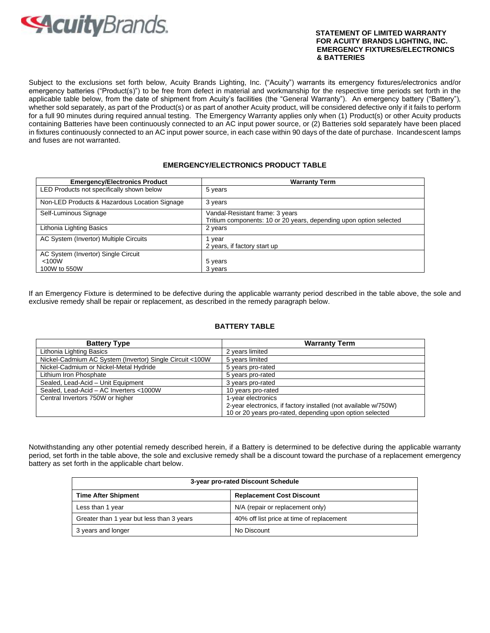

Subject to the exclusions set forth below, Acuity Brands Lighting, Inc. ("Acuity") warrants its emergency fixtures/electronics and/or emergency batteries ("Product(s)") to be free from defect in material and workmanship for the respective time periods set forth in the applicable table below, from the date of shipment from Acuity's facilities (the "General Warranty"). An emergency battery ("Battery"), whether sold separately, as part of the Product(s) or as part of another Acuity product, will be considered defective only if it fails to perform for a full 90 minutes during required annual testing. The Emergency Warranty applies only when (1) Product(s) or other Acuity products containing Batteries have been continuously connected to an AC input power source, or (2) Batteries sold separately have been placed in fixtures continuously connected to an AC input power source, in each case within 90 days of the date of purchase. Incandescent lamps and fuses are not warranted.

## **EMERGENCY/ELECTRONICS PRODUCT TABLE**

| <b>Emergency/Electronics Product</b>          | <b>Warranty Term</b>                                               |
|-----------------------------------------------|--------------------------------------------------------------------|
| LED Products not specifically shown below     | 5 years                                                            |
| Non-LED Products & Hazardous Location Signage | 3 years                                                            |
| Self-Luminous Signage                         | Vandal-Resistant frame: 3 years                                    |
|                                               | Tritium components: 10 or 20 years, depending upon option selected |
| Lithonia Lighting Basics                      | 2 years                                                            |
| AC System (Invertor) Multiple Circuits        | l year                                                             |
|                                               | 2 years, if factory start up                                       |
| AC System (Invertor) Single Circuit           |                                                                    |
| <100W                                         | 5 years                                                            |
| 100W to 550W                                  | 3 years                                                            |

If an Emergency Fixture is determined to be defective during the applicable warranty period described in the table above, the sole and exclusive remedy shall be repair or replacement, as described in the remedy paragraph below.

# **BATTERY TABLE**

| <b>Battery Type</b>                                      | <b>Warranty Term</b>                                            |
|----------------------------------------------------------|-----------------------------------------------------------------|
| Lithonia Lighting Basics                                 | 2 years limited                                                 |
| Nickel-Cadmium AC System (Invertor) Single Circuit <100W | 5 years limited                                                 |
| Nickel-Cadmium or Nickel-Metal Hydride                   | 5 years pro-rated                                               |
| Lithium Iron Phosphate                                   | 5 years pro-rated                                               |
| Sealed, Lead-Acid - Unit Equipment                       | 3 years pro-rated                                               |
| Sealed, Lead-Acid - AC Inverters <1000W                  | 10 years pro-rated                                              |
| Central Invertors 750W or higher                         | 1-year electronics                                              |
|                                                          | 2-year electronics, if factory installed (not available w/750W) |
|                                                          | 10 or 20 years pro-rated, depending upon option selected        |

Notwithstanding any other potential remedy described herein, if a Battery is determined to be defective during the applicable warranty period, set forth in the table above, the sole and exclusive remedy shall be a discount toward the purchase of a replacement emergency battery as set forth in the applicable chart below.

| 3-year pro-rated Discount Schedule        |                                           |  |
|-------------------------------------------|-------------------------------------------|--|
| <b>Time After Shipment</b>                | <b>Replacement Cost Discount</b>          |  |
| Less than 1 year                          | N/A (repair or replacement only)          |  |
| Greater than 1 year but less than 3 years | 40% off list price at time of replacement |  |
| 3 years and longer                        | No Discount                               |  |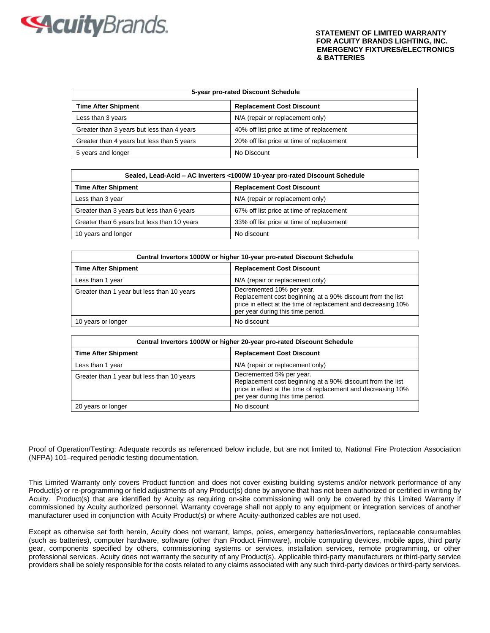

| 5-year pro-rated Discount Schedule         |                                           |  |
|--------------------------------------------|-------------------------------------------|--|
| <b>Time After Shipment</b>                 | <b>Replacement Cost Discount</b>          |  |
| Less than 3 years                          | N/A (repair or replacement only)          |  |
| Greater than 3 years but less than 4 years | 40% off list price at time of replacement |  |
| Greater than 4 years but less than 5 years | 20% off list price at time of replacement |  |
| 5 years and longer                         | No Discount                               |  |

| Sealed, Lead-Acid – AC Inverters <1000W 10-year pro-rated Discount Schedule |                                           |  |
|-----------------------------------------------------------------------------|-------------------------------------------|--|
| <b>Time After Shipment</b>                                                  | <b>Replacement Cost Discount</b>          |  |
| Less than 3 year                                                            | N/A (repair or replacement only)          |  |
| Greater than 3 years but less than 6 years                                  | 67% off list price at time of replacement |  |
| Greater than 6 years but less than 10 years                                 | 33% off list price at time of replacement |  |
| 10 years and longer                                                         | No discount                               |  |

| Central Invertors 1000W or higher 10-year pro-rated Discount Schedule |                                                                                                                                                                                               |  |
|-----------------------------------------------------------------------|-----------------------------------------------------------------------------------------------------------------------------------------------------------------------------------------------|--|
| <b>Time After Shipment</b>                                            | <b>Replacement Cost Discount</b>                                                                                                                                                              |  |
| Less than 1 year                                                      | N/A (repair or replacement only)                                                                                                                                                              |  |
| Greater than 1 year but less than 10 years                            | Decremented 10% per year.<br>Replacement cost beginning at a 90% discount from the list<br>price in effect at the time of replacement and decreasing 10%<br>per year during this time period. |  |
| 10 years or longer                                                    | No discount                                                                                                                                                                                   |  |

| Central Invertors 1000W or higher 20-year pro-rated Discount Schedule |                                                                                                                                                                                              |  |
|-----------------------------------------------------------------------|----------------------------------------------------------------------------------------------------------------------------------------------------------------------------------------------|--|
| <b>Time After Shipment</b>                                            | <b>Replacement Cost Discount</b>                                                                                                                                                             |  |
| Less than 1 year                                                      | N/A (repair or replacement only)                                                                                                                                                             |  |
| Greater than 1 year but less than 10 years                            | Decremented 5% per year.<br>Replacement cost beginning at a 90% discount from the list<br>price in effect at the time of replacement and decreasing 10%<br>per year during this time period. |  |
| 20 years or longer                                                    | No discount                                                                                                                                                                                  |  |

Proof of Operation/Testing: Adequate records as referenced below include, but are not limited to, National Fire Protection Association (NFPA) 101–required periodic testing documentation.

This Limited Warranty only covers Product function and does not cover existing building systems and/or network performance of any Product(s) or re-programming or field adjustments of any Product(s) done by anyone that has not been authorized or certified in writing by Acuity. Product(s) that are identified by Acuity as requiring on-site commissioning will only be covered by this Limited Warranty if commissioned by Acuity authorized personnel. Warranty coverage shall not apply to any equipment or integration services of another manufacturer used in conjunction with Acuity Product(s) or where Acuity-authorized cables are not used.

Except as otherwise set forth herein, Acuity does not warrant, lamps, poles, emergency batteries/invertors, replaceable consumables (such as batteries), computer hardware, software (other than Product Firmware), mobile computing devices, mobile apps, third party gear, components specified by others, commissioning systems or services, installation services, remote programming, or other professional services. Acuity does not warranty the security of any Product(s). Applicable third-party manufacturers or third-party service providers shall be solely responsible for the costs related to any claims associated with any such third-party devices or third-party services.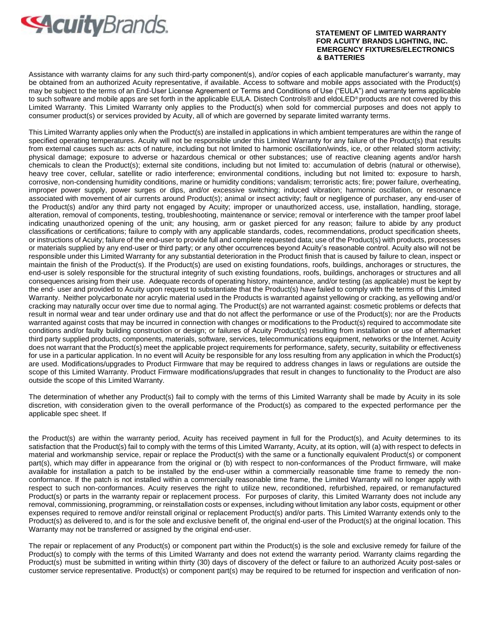

Assistance with warranty claims for any such third-party component(s), and/or copies of each applicable manufacturer's warranty, may be obtained from an authorized Acuity representative, if available. Access to software and mobile apps associated with the Product(s) may be subject to the terms of an End-User License Agreement or Terms and Conditions of Use ("EULA") and warranty terms applicable to such software and mobile apps are set forth in the applicable EULA. Distech Controls® and eldoLED® products are not covered by this Limited Warranty. This Limited Warranty only applies to the Product(s) when sold for commercial purposes and does not apply to consumer product(s) or services provided by Acuity, all of which are governed by separate limited warranty terms.

This Limited Warranty applies only when the Product(s) are installed in applications in which ambient temperatures are within the range of specified operating temperatures. Acuity will not be responsible under this Limited Warranty for any failure of the Product(s) that results from external causes such as: acts of nature, including but not limited to harmonic oscillation/winds, ice, or other related storm activity; physical damage; exposure to adverse or hazardous chemical or other substances; use of reactive cleaning agents and/or harsh chemicals to clean the Product(s); external site conditions, including but not limited to: accumulation of debris (natural or otherwise), heavy tree cover, cellular, satellite or radio interference; environmental conditions, including but not limited to: exposure to harsh, corrosive, non-condensing humidity conditions, marine or humidity conditions; vandalism; terroristic acts; fire; power failure, overheating, improper power supply, power surges or dips, and/or excessive switching; induced vibration; harmonic oscillation, or resonance associated with movement of air currents around Product(s); animal or insect activity; fault or negligence of purchaser, any end-user of the Product(s) and/or any third party not engaged by Acuity; improper or unauthorized access, use, installation, handling, storage, alteration, removal of components, testing, troubleshooting, maintenance or service; removal or interference with the tamper proof label indicating unauthorized opening of the unit; any housing, arm or gasket pierced for any reason; failure to abide by any product classifications or certifications; failure to comply with any applicable standards, codes, recommendations, product specification sheets, or instructions of Acuity; failure of the end-user to provide full and complete requested data; use of the Product(s) with products, processes or materials supplied by any end-user or third party; or any other occurrences beyond Acuity's reasonable control. Acuity also will not be responsible under this Limited Warranty for any substantial deterioration in the Product finish that is caused by failure to clean, inspect or maintain the finish of the Product(s). If the Product(s) are used on existing foundations, roofs, buildings, anchorages or structures, the end-user is solely responsible for the structural integrity of such existing foundations, roofs, buildings, anchorages or structures and all consequences arising from their use. Adequate records of operating history, maintenance, and/or testing (as applicable) must be kept by the end- user and provided to Acuity upon request to substantiate that the Product(s) have failed to comply with the terms of this Limited Warranty. Neither polycarbonate nor acrylic material used in the Products is warranted against yellowing or cracking, as yellowing and/or cracking may naturally occur over time due to normal aging. The Product(s) are not warranted against: cosmetic problems or defects that result in normal wear and tear under ordinary use and that do not affect the performance or use of the Product(s); nor are the Products warranted against costs that may be incurred in connection with changes or modifications to the Product(s) required to accommodate site conditions and/or faulty building construction or design; or failures of Acuity Product(s) resulting from installation or use of aftermarket third party supplied products, components, materials, software, services, telecommunications equipment, networks or the Internet. Acuity does not warrant that the Product(s) meet the applicable project requirements for performance, safety, security, suitability or effectiveness for use in a particular application. In no event will Acuity be responsible for any loss resulting from any application in which the Product(s) are used. Modifications/upgrades to Product Firmware that may be required to address changes in laws or regulations are outside the scope of this Limited Warranty. Product Firmware modifications/upgrades that result in changes to functionality to the Product are also outside the scope of this Limited Warranty.

The determination of whether any Product(s) fail to comply with the terms of this Limited Warranty shall be made by Acuity in its sole discretion, with consideration given to the overall performance of the Product(s) as compared to the expected performance per the applicable spec sheet. If

the Product(s) are within the warranty period, Acuity has received payment in full for the Product(s), and Acuity determines to its satisfaction that the Product(s) fail to comply with the terms of this Limited Warranty, Acuity, at its option, will (a) with respect to defects in material and workmanship service, repair or replace the Product(s) with the same or a functionally equivalent Product(s) or component part(s), which may differ in appearance from the original or (b) with respect to non-conformances of the Product firmware, will make available for installation a patch to be installed by the end-user within a commercially reasonable time frame to remedy the nonconformance. If the patch is not installed within a commercially reasonable time frame, the Limited Warranty will no longer apply with respect to such non-conformances. Acuity reserves the right to utilize new, reconditioned, refurbished, repaired, or remanufactured Product(s) or parts in the warranty repair or replacement process. For purposes of clarity, this Limited Warranty does not include any removal, commissioning, programming, or reinstallation costs or expenses, including without limitation any labor costs, equipment or other expenses required to remove and/or reinstall original or replacement Product(s) and/or parts. This Limited Warranty extends only to the Product(s) as delivered to, and is for the sole and exclusive benefit of, the original end-user of the Product(s) at the original location. This Warranty may not be transferred or assigned by the original end-user.

The repair or replacement of any Product(s) or component part within the Product(s) is the sole and exclusive remedy for failure of the Product(s) to comply with the terms of this Limited Warranty and does not extend the warranty period. Warranty claims regarding the Product(s) must be submitted in writing within thirty (30) days of discovery of the defect or failure to an authorized Acuity post-sales or customer service representative. Product(s) or component part(s) may be required to be returned for inspection and verification of non-